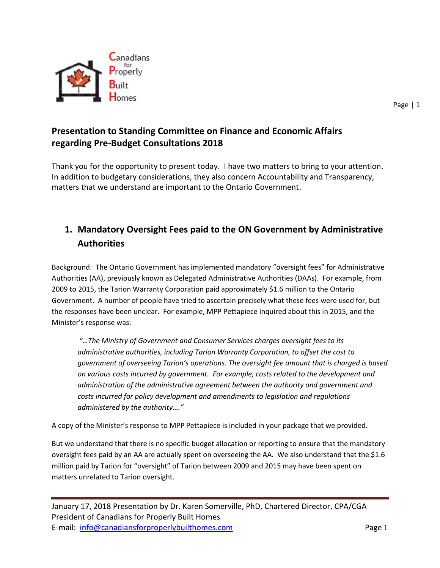

Page | 1

## **Presentation to Standing Committee on Finance and Economic Affairs regarding Pre-Budget Consultations 2018**

Thank you for the opportunity to present today. I have two matters to bring to your attention. In addition to budgetary considerations, they also concern Accountability and Transparency, matters that we understand are important to the Ontario Government.

## **1. Mandatory Oversight Fees paid to the ON Government by Administrative Authorities**

Background: The Ontario Government has implemented mandatory "oversight fees" for Administrative Authorities (AA), previously known as Delegated Administrative Authorities (DAAs). For example, from 2009 to 2015, the Tarion Warranty Corporation paid approximately \$1.6 million to the Ontario Government. A number of people have tried to ascertain precisely what these fees were used for, but the responses have been unclear. For example, MPP Pettapiece inquired about this in 2015, and the Minister's response was:

*"…The Ministry of Government and Consumer Services charges oversight fees to its administrative authorities, including Tarion Warranty Corporation, to offset the cost to government of overseeing Tarion's operations. The oversight fee amount that is charged is based on various costs incurred by government. For example, costs related to the development and administration of the administrative agreement between the authority and government and costs incurred for policy development and amendments to legislation and regulations administered by the authority…."* 

A copy of the Minister's response to MPP Pettapiece is included in your package that we provided.

But we understand that there is no specific budget allocation or reporting to ensure that the mandatory oversight fees paid by an AA are actually spent on overseeing the AA. We also understand that the \$1.6 million paid by Tarion for "oversight" of Tarion between 2009 and 2015 may have been spent on matters unrelated to Tarion oversight.

January 17, 2018 Presentation by Dr. Karen Somerville, PhD, Chartered Director, CPA/CGA President of Canadians for Properly Built Homes E-mail: [info@canadiansforproperlybuilthomes.com](mailto:info@canadiansforproperlybuilthomes.com) Page 1